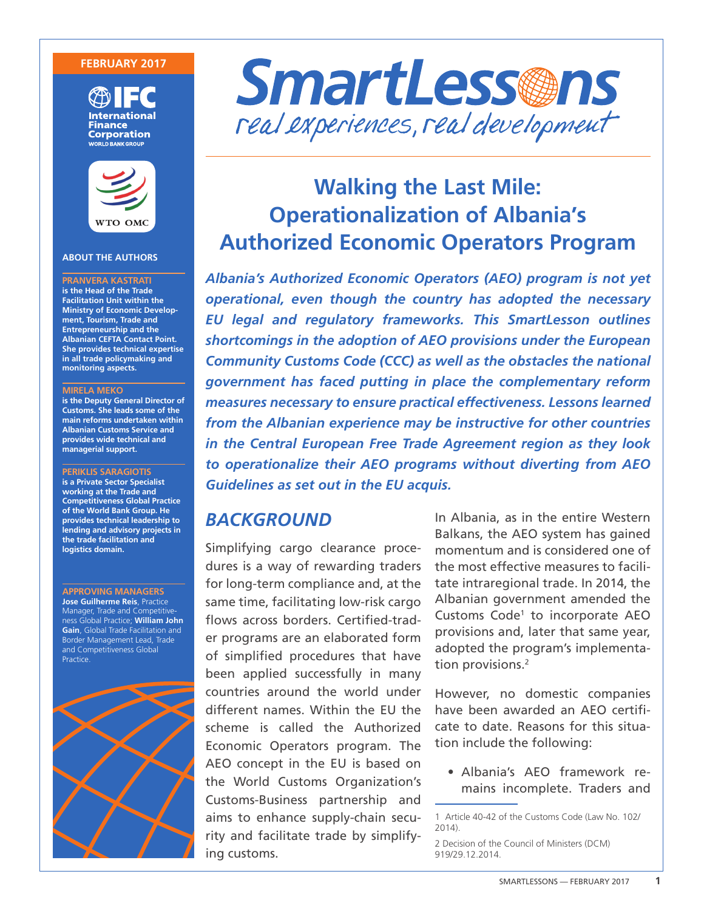#### **FEBRUARY 2017**





#### **ABOUT THE AUTHORS**

**PRANVERA KASTRATI is the Head of the Trade Facilitation Unit within the Ministry of Economic Development, Tourism, Trade and Entrepreneurship and the Albanian CEFTA Contact Point. She provides technical expertise in all trade policymaking and monitoring aspects.**

#### **MIRELA MEKO**

**is the Deputy General Director of Customs. She leads some of the main reforms undertaken within Albanian Customs Service and provides wide technical and managerial support.** 

**PERIKLIS SARAGIOTIS is a Private Sector Specialist working at the Trade and Competitiveness Global Practice of the World Bank Group. He provides technical leadership to lending and advisory projects in the trade facilitation and logistics domain.** 

**APPROVING MANAGERS Jose Guilherme Reis**, Practice Manager, Trade and Competitiveness Global Practice; **William John Gain**, Global Trade Facilitation and Border Management Lead, Trade and Competitiveness Global Practice.





# **Walking the Last Mile: Operationalization of Albania's Authorized Economic Operators Program**

*Albania's Authorized Economic Operators (AEO) program is not yet operational, even though the country has adopted the necessary EU legal and regulatory frameworks. This SmartLesson outlines shortcomings in the adoption of AEO provisions under the European Community Customs Code (CCC) as well as the obstacles the national government has faced putting in place the complementary reform measures necessary to ensure practical effectiveness. Lessons learned from the Albanian experience may be instructive for other countries in the Central European Free Trade Agreement region as they look to operationalize their AEO programs without diverting from AEO Guidelines as set out in the EU acquis.* 

### *BACKGROUND*

Simplifying cargo clearance procedures is a way of rewarding traders for long-term compliance and, at the same time, facilitating low-risk cargo flows across borders. Certified-trader programs are an elaborated form of simplified procedures that have been applied successfully in many countries around the world under different names. Within the EU the scheme is called the Authorized Economic Operators program. The AEO concept in the EU is based on the World Customs Organization's Customs-Business partnership and aims to enhance supply-chain security and facilitate trade by simplifying customs.

In Albania, as in the entire Western Balkans, the AEO system has gained momentum and is considered one of the most effective measures to facilitate intraregional trade. In 2014, the Albanian government amended the Customs Code<sup>1</sup> to incorporate AEO provisions and, later that same year, adopted the program's implementation provisions.<sup>2</sup>

However, no domestic companies have been awarded an AEO certificate to date. Reasons for this situation include the following:

• Albania's AEO framework remains incomplete. Traders and

2 Decision of the Council of Ministers (DCM) 919/29.12.2014.

<sup>1</sup> Article 40-42 of the Customs Code (Law No. 102/ 2014).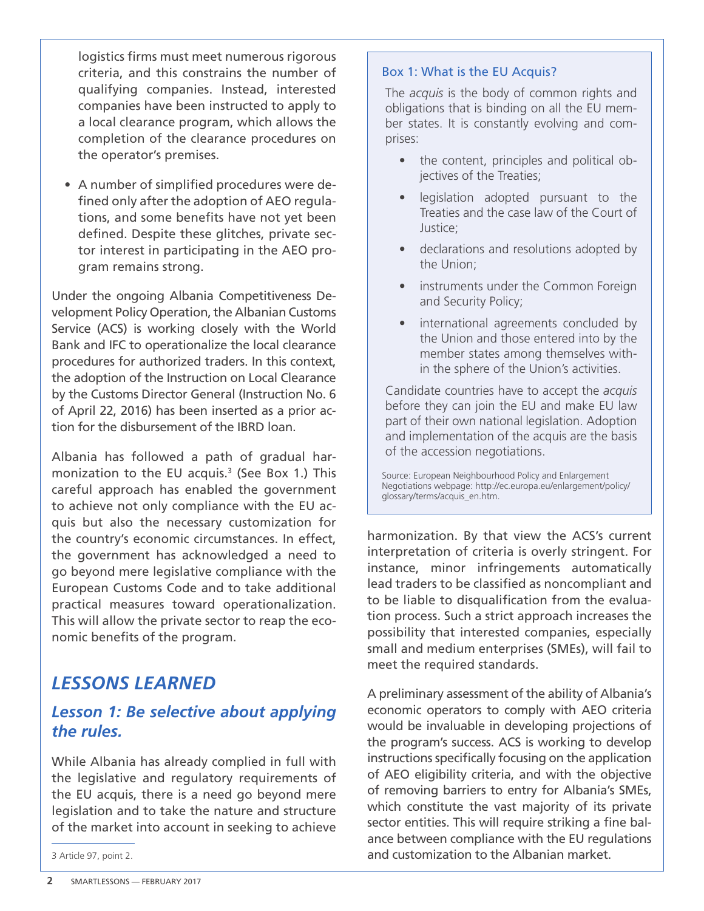logistics firms must meet numerous rigorous criteria, and this constrains the number of qualifying companies. Instead, interested companies have been instructed to apply to a local clearance program, which allows the completion of the clearance procedures on the operator's premises.

• A number of simplified procedures were defined only after the adoption of AEO regulations, and some benefits have not yet been defined. Despite these glitches, private sector interest in participating in the AEO program remains strong.

Under the ongoing Albania Competitiveness Development Policy Operation, the Albanian Customs Service (ACS) is working closely with the World Bank and IFC to operationalize the local clearance procedures for authorized traders. In this context, the adoption of the Instruction on Local Clearance by the Customs Director General (Instruction No. 6 of April 22, 2016) has been inserted as a prior action for the disbursement of the IBRD loan.

Albania has followed a path of gradual harmonization to the EU acquis. $3$  (See Box 1.) This careful approach has enabled the government to achieve not only compliance with the EU acquis but also the necessary customization for the country's economic circumstances. In effect, the government has acknowledged a need to go beyond mere legislative compliance with the European Customs Code and to take additional practical measures toward operationalization. This will allow the private sector to reap the economic benefits of the program.

# *LESSONS LEARNED*

# *Lesson 1: Be selective about applying the rules.*

While Albania has already complied in full with the legislative and regulatory requirements of the EU acquis, there is a need go beyond mere legislation and to take the nature and structure of the market into account in seeking to achieve

#### Box 1: What is the EU Acquis?

The *acquis* is the body of common rights and obligations that is binding on all the EU member states. It is constantly evolving and comprises:

- the content, principles and political objectives of the Treaties;
- legislation adopted pursuant to the Treaties and the case law of the Court of Justice;
- declarations and resolutions adopted by the Union;
- instruments under the Common Foreign and Security Policy;
- international agreements concluded by the Union and those entered into by the member states among themselves within the sphere of the Union's activities.

Candidate countries have to accept the *acquis*  before they can join the EU and make EU law part of their own national legislation. Adoption and implementation of the acquis are the basis of the accession negotiations.

Source: European Neighbourhood Policy and Enlargement Negotiations webpage: http://ec.europa.eu/enlargement/policy/ glossary/terms/acquis\_en.htm.

harmonization. By that view the ACS's current interpretation of criteria is overly stringent. For instance, minor infringements automatically lead traders to be classified as noncompliant and to be liable to disqualification from the evaluation process. Such a strict approach increases the possibility that interested companies, especially small and medium enterprises (SMEs), will fail to meet the required standards.

A preliminary assessment of the ability of Albania's economic operators to comply with AEO criteria would be invaluable in developing projections of the program's success. ACS is working to develop instructions specifically focusing on the application of AEO eligibility criteria, and with the objective of removing barriers to entry for Albania's SMEs, which constitute the vast majority of its private sector entities. This will require striking a fine balance between compliance with the EU regulations and customization to the Albanian market.

<sup>3</sup> Article 97, point 2.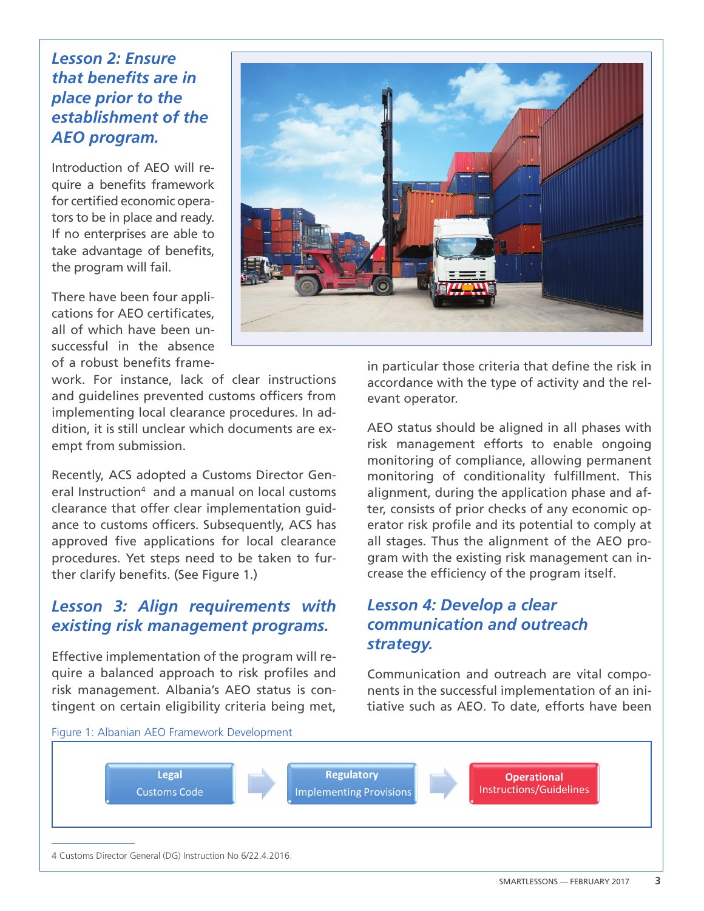# *Lesson 2: Ensure that benefits are in place prior to the establishment of the AEO program.*

Introduction of AEO will require a benefits framework for certified economic operators to be in place and ready. If no enterprises are able to take advantage of benefits, the program will fail.

There have been four applications for AEO certificates, all of which have been unsuccessful in the absence of a robust benefits frame-

work. For instance, lack of clear instructions and guidelines prevented customs officers from implementing local clearance procedures. In addition, it is still unclear which documents are exempt from submission.

Recently, ACS adopted a Customs Director General Instruction<sup>4</sup> and a manual on local customs clearance that offer clear implementation guidance to customs officers. Subsequently, ACS has approved five applications for local clearance procedures. Yet steps need to be taken to further clarify benefits. (See Figure 1.)

## *Lesson 3: Align requirements with existing risk management programs.*

Effective implementation of the program will require a balanced approach to risk profiles and risk management. Albania's AEO status is contingent on certain eligibility criteria being met,



in particular those criteria that define the risk in accordance with the type of activity and the relevant operator.

AEO status should be aligned in all phases with risk management efforts to enable ongoing monitoring of compliance, allowing permanent monitoring of conditionality fulfillment. This alignment, during the application phase and after, consists of prior checks of any economic operator risk profile and its potential to comply at all stages. Thus the alignment of the AEO program with the existing risk management can increase the efficiency of the program itself.

# *Lesson 4: Develop a clear communication and outreach strategy.*

Communication and outreach are vital components in the successful implementation of an initiative such as AEO. To date, efforts have been